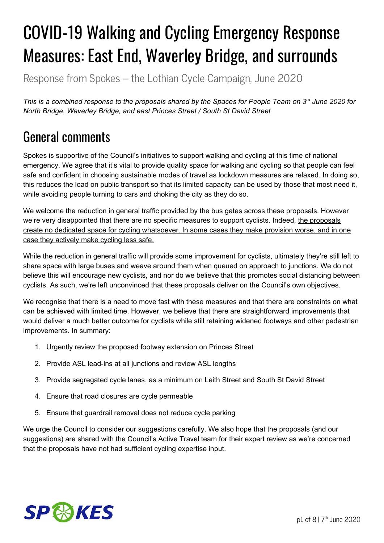# COVID-19 Walking and Cycling Emergency Response Measures: East End, Waverley Bridge, and surrounds

Response from Spokes – the Lothian Cycle Campaign, June 2020

This is a combined response to the proposals shared by the Spaces for People Team on 3rd June 2020 for *North Bridge, Waverley Bridge, and east Princes Street / South St David Street*

# General comments

Spokes is supportive of the Council's initiatives to support walking and cycling at this time of national emergency. We agree that it's vital to provide quality space for walking and cycling so that people can feel safe and confident in choosing sustainable modes of travel as lockdown measures are relaxed. In doing so, this reduces the load on public transport so that its limited capacity can be used by those that most need it, while avoiding people turning to cars and choking the city as they do so.

We welcome the reduction in general traffic provided by the bus gates across these proposals. However we're very disappointed that there are no specific measures to support cyclists. Indeed, the proposals create no dedicated space for cycling whatsoever. In some cases they make provision worse, and in one case they actively make cycling less safe.

While the reduction in general traffic will provide some improvement for cyclists, ultimately they're still left to share space with large buses and weave around them when queued on approach to junctions. We do not believe this will encourage new cyclists, and nor do we believe that this promotes social distancing between cyclists. As such, we're left unconvinced that these proposals deliver on the Council's own objectives.

We recognise that there is a need to move fast with these measures and that there are constraints on what can be achieved with limited time. However, we believe that there are straightforward improvements that would deliver a much better outcome for cyclists while still retaining widened footways and other pedestrian improvements. In summary:

- 1. Urgently review the proposed footway extension on Princes Street
- 2. Provide ASL lead-ins at all junctions and review ASL lengths
- 3. Provide segregated cycle lanes, as a minimum on Leith Street and South St David Street
- 4. Ensure that road closures are cycle permeable
- 5. Ensure that guardrail removal does not reduce cycle parking

We urge the Council to consider our suggestions carefully. We also hope that the proposals (and our suggestions) are shared with the Council's Active Travel team for their expert review as we're concerned that the proposals have not had sufficient cycling expertise input.

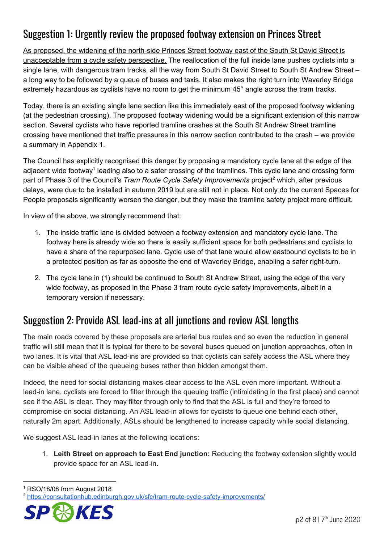### Suggestion 1: Urgently review the proposed footway extension on Princes Street

As proposed, the widening of the north-side Princes Street footway east of the South St David Street is unacceptable from a cycle safety perspective. The reallocation of the full inside lane pushes cyclists into a single lane, with dangerous tram tracks, all the way from South St David Street to South St Andrew Street – a long way to be followed by a queue of buses and taxis. It also makes the right turn into Waverley Bridge extremely hazardous as cyclists have no room to get the minimum 45° angle across the tram tracks.

Today, there is an existing single lane section like this immediately east of the proposed footway widening (at the pedestrian crossing). The proposed footway widening would be a significant extension of this narrow section. Several cyclists who have reported tramline crashes at the South St Andrew Street tramline crossing have mentioned that traffic pressures in this narrow section contributed to the crash – we provide a summary in Appendix 1.

The Council has explicitly recognised this danger by proposing a mandatory cycle lane at the edge of the adjacent wide footway<sup>1</sup> leading also to a safer crossing of the tramlines. This cycle lane and crossing form part of Phase 3 of the Council's *Tram Route Cycle Safety Improvements* project<sup>2</sup> which, after previous delays, were due to be installed in autumn 2019 but are still not in place. Not only do the current Spaces for People proposals significantly worsen the danger, but they make the tramline safety project more difficult.

In view of the above, we strongly recommend that:

- 1. The inside traffic lane is divided between a footway extension and mandatory cycle lane. The footway here is already wide so there is easily sufficient space for both pedestrians and cyclists to have a share of the repurposed lane. Cycle use of that lane would allow eastbound cyclists to be in a protected position as far as opposite the end of Waverley Bridge, enabling a safer right-turn.
- 2. The cycle lane in (1) should be continued to South St Andrew Street, using the edge of the very wide footway, as proposed in the Phase 3 tram route cycle safety improvements, albeit in a temporary version if necessary.

#### Suggestion 2: Provide ASL lead-ins at all junctions and review ASL lengths

The main roads covered by these proposals are arterial bus routes and so even the reduction in general traffic will still mean that it is typical for there to be several buses queued on junction approaches, often in two lanes. It is vital that ASL lead-ins are provided so that cyclists can safely access the ASL where they can be visible ahead of the queueing buses rather than hidden amongst them.

Indeed, the need for social distancing makes clear access to the ASL even more important. Without a lead-in lane, cyclists are forced to filter through the queuing traffic (intimidating in the first place) and cannot see if the ASL is clear. They may filter through only to find that the ASL is full and they're forced to compromise on social distancing. An ASL lead-in allows for cyclists to queue one behind each other, naturally 2m apart. Additionally, ASLs should be lengthened to increase capacity while social distancing.

We suggest ASL lead-in lanes at the following locations:

1. **Leith Street on approach to East End junction:** Reducing the footway extension slightly would provide space for an ASL lead-in.

<sup>&</sup>lt;sup>2</sup> <https://consultationhub.edinburgh.gov.uk/sfc/tram-route-cycle-safety-improvements/>



<sup>1</sup> RSO/18/08 from August 2018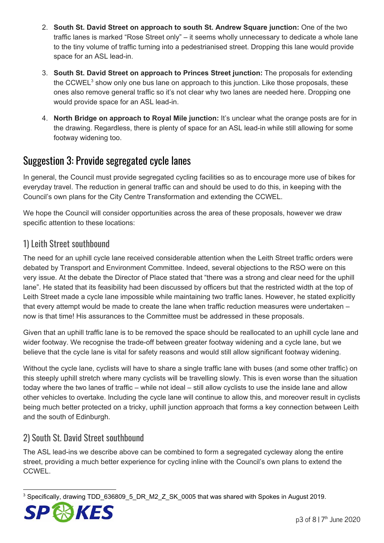- 2. **South St. David Street on approach to south St. Andrew Square junction:** One of the two traffic lanes is marked "Rose Street only" – it seems wholly unnecessary to dedicate a whole lane to the tiny volume of traffic turning into a pedestrianised street. Dropping this lane would provide space for an ASL lead-in.
- 3. **South St. David Street on approach to Princes Street junction:** The proposals for extending the CCWEL<sup>3</sup> show only one bus lane on approach to this junction. Like those proposals, these ones also remove general traffic so it's not clear why two lanes are needed here. Dropping one would provide space for an ASL lead-in.
- 4. **North Bridge on approach to Royal Mile junction:** It's unclear what the orange posts are for in the drawing. Regardless, there is plenty of space for an ASL lead-in while still allowing for some footway widening too.

#### Suggestion 3: Provide segregated cycle lanes

In general, the Council must provide segregated cycling facilities so as to encourage more use of bikes for everyday travel. The reduction in general traffic can and should be used to do this, in keeping with the Council's own plans for the City Centre Transformation and extending the CCWEL.

We hope the Council will consider opportunities across the area of these proposals, however we draw specific attention to these locations:

#### 1) Leith Street southbound

The need for an uphill cycle lane received considerable attention when the Leith Street traffic orders were debated by Transport and Environment Committee. Indeed, several objections to the RSO were on this very issue. At the debate the Director of Place stated that "there was a strong and clear need for the uphill lane". He stated that its feasibility had been discussed by officers but that the restricted width at the top of Leith Street made a cycle lane impossible while maintaining two traffic lanes. However, he stated explicitly that every attempt would be made to create the lane when traffic reduction measures were undertaken – now is that time! His assurances to the Committee must be addressed in these proposals.

Given that an uphill traffic lane is to be removed the space should be reallocated to an uphill cycle lane and wider footway. We recognise the trade-off between greater footway widening and a cycle lane, but we believe that the cycle lane is vital for safety reasons and would still allow significant footway widening.

Without the cycle lane, cyclists will have to share a single traffic lane with buses (and some other traffic) on this steeply uphill stretch where many cyclists will be travelling slowly. This is even worse than the situation today where the two lanes of traffic – while not ideal – still allow cyclists to use the inside lane and allow other vehicles to overtake. Including the cycle lane will continue to allow this, and moreover result in cyclists being much better protected on a tricky, uphill junction approach that forms a key connection between Leith and the south of Edinburgh.

#### 2) South St. David Street southbound

The ASL lead-ins we describe above can be combined to form a segregated cycleway along the entire street, providing a much better experience for cycling inline with the Council's own plans to extend the CCWEL.

<sup>&</sup>lt;sup>3</sup> Specifically, drawing TDD\_636809\_5\_DR\_M2\_Z\_SK\_0005 that was shared with Spokes in August 2019.

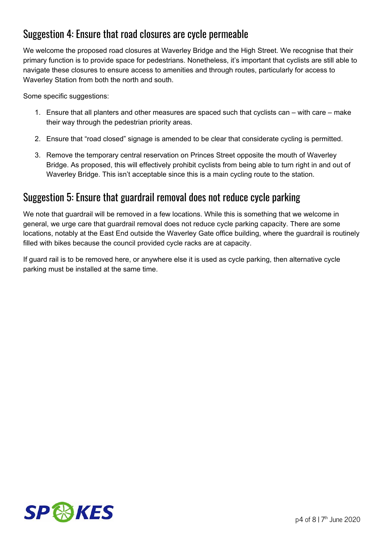#### Suggestion 4: Ensure that road closures are cycle permeable

We welcome the proposed road closures at Waverley Bridge and the High Street. We recognise that their primary function is to provide space for pedestrians. Nonetheless, it's important that cyclists are still able to navigate these closures to ensure access to amenities and through routes, particularly for access to Waverley Station from both the north and south.

Some specific suggestions:

- 1. Ensure that all planters and other measures are spaced such that cyclists can with care make their way through the pedestrian priority areas.
- 2. Ensure that "road closed" signage is amended to be clear that considerate cycling is permitted.
- 3. Remove the temporary central reservation on Princes Street opposite the mouth of Waverley Bridge. As proposed, this will effectively prohibit cyclists from being able to turn right in and out of Waverley Bridge. This isn't acceptable since this is a main cycling route to the station.

#### Suggestion 5: Ensure that guardrail removal does not reduce cycle parking

We note that guardrail will be removed in a few locations. While this is something that we welcome in general, we urge care that guardrail removal does not reduce cycle parking capacity. There are some locations, notably at the East End outside the Waverley Gate office building, where the guardrail is routinely filled with bikes because the council provided cycle racks are at capacity.

If guard rail is to be removed here, or anywhere else it is used as cycle parking, then alternative cycle parking must be installed at the same time.

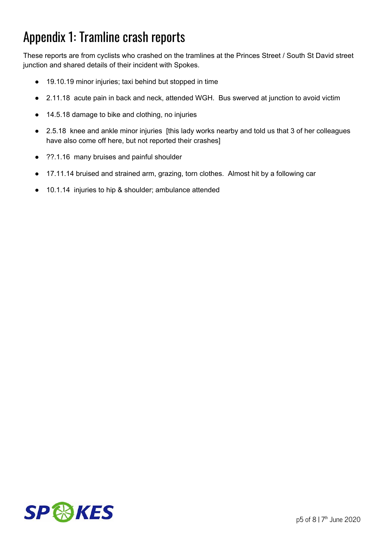## Appendix 1: Tramline crash reports

These reports are from cyclists who crashed on the tramlines at the Princes Street / South St David street junction and shared details of their incident with Spokes.

- 19.10.19 minor injuries; taxi behind but stopped in time
- 2.11.18 acute pain in back and neck, attended WGH. Bus swerved at junction to avoid victim
- 14.5.18 damage to bike and clothing, no injuries
- 2.5.18 knee and ankle minor injuries [this lady works nearby and told us that 3 of her colleagues have also come off here, but not reported their crashes]
- ??.1.16 many bruises and painful shoulder
- 17.11.14 bruised and strained arm, grazing, torn clothes. Almost hit by a following car
- 10.1.14 injuries to hip & shoulder; ambulance attended

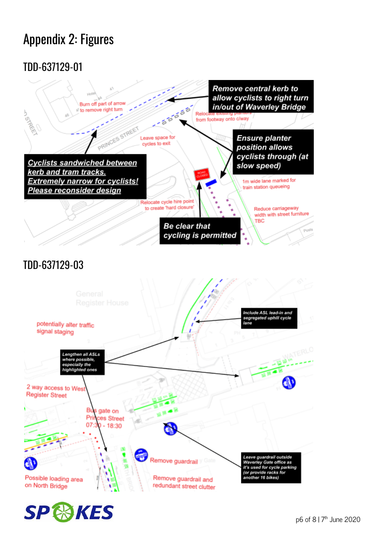# Appendix 2: Figures

### TDD-637129-01



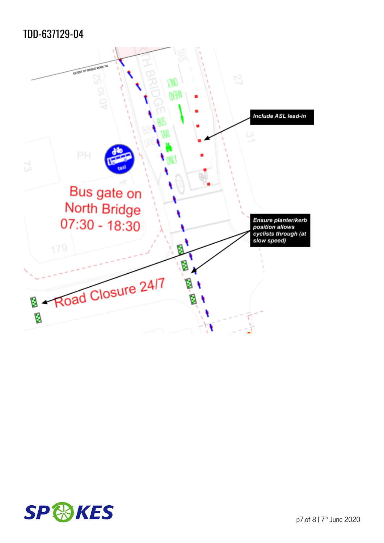### TDD-637129-04